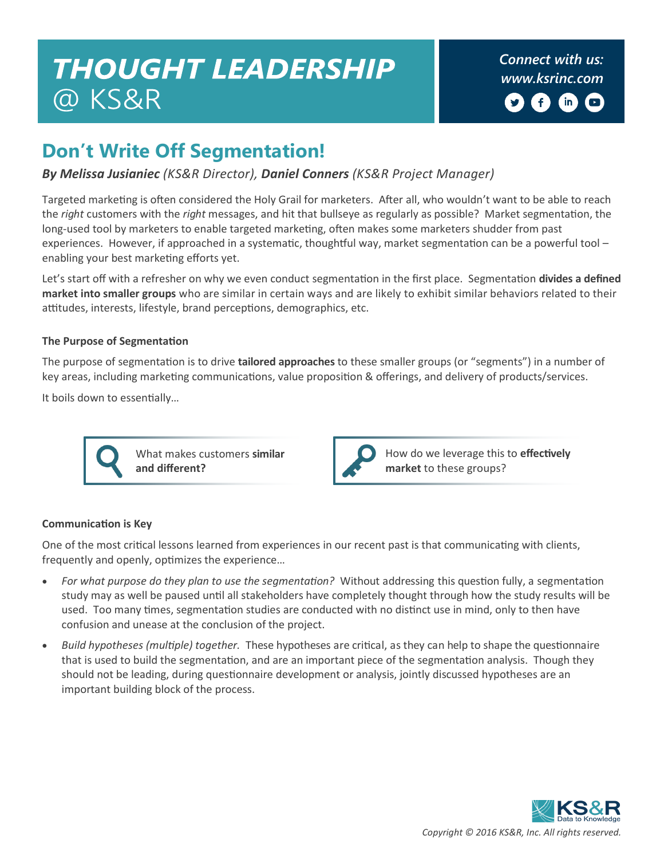## **THOUGHT LEADERSHIP** @ KS&R

# $\left( \mathsf{in}\right)$

**&RQHFWZLWKXV [NVULQFRPZ](http://www.ksrinc.com/)**

## **Don't Write Off Segmentation!**

#### *By Melissa Jusianiec (KS&R Director), Daniel Conners (KS&R Project Manager)*

Targeted marketing is often considered the Holy Grail for marketers. After all, who wouldn't want to be able to reach the *right* customers with the *right* messages, and hit that bullseye as regularly as possible? Market segmentation, the long-used tool by marketers to enable targeted marketing, often makes some marketers shudder from past experiences. However, if approached in a systematic, thoughtful way, market segmentation can be a powerful tool – enabling your best marketing efforts yet.

Let's start off with a refresher on why we even conduct segmentation in the first place. Segmentation **divides a defined market into smaller groups** who are similar in certain ways and are likely to exhibit similar behaviors related to their attitudes, interests, lifestyle, brand perceptions, demographics, etc.

#### **The Purpose of Segmentation**

The purpose of segmentation is to drive **tailored approaches** to these smaller groups (or "segments") in a number of key areas, including marketing communications, value proposition & offerings, and delivery of products/services.

It boils down to essentially…



What makes customers **similar and different?**



How do we leverage this to **effectively market** to these groups?

#### **Communication is Key**

One of the most critical lessons learned from experiences in our recent past is that communicating with clients, frequently and openly, optimizes the experience…

- *For what purpose do they plan to use the segmentation?* Without addressing this question fully, a segmentation study may as well be paused until all stakeholders have completely thought through how the study results will be used. Too many times, segmentation studies are conducted with no distinct use in mind, only to then have confusion and unease at the conclusion of the project.
- *Build hypotheses (multiple) together.* These hypotheses are critical, as they can help to shape the questionnaire that is used to build the segmentation, and are an important piece of the segmentation analysis. Though they should not be leading, during questionnaire development or analysis, jointly discussed hypotheses are an important building block of the process.

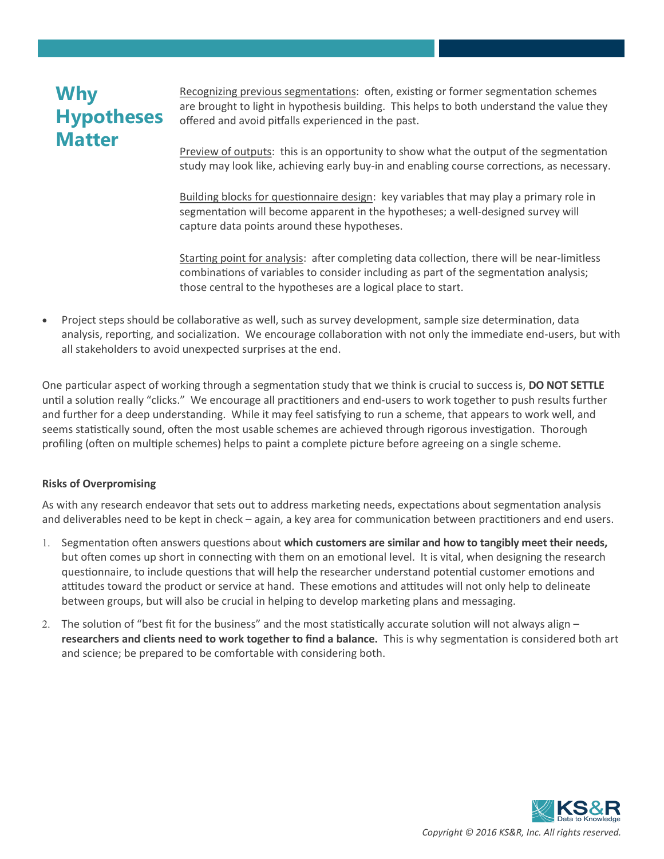## **Why Hypotheses Matter**

Recognizing previous segmentations: often, existing or former segmentation schemes are brought to light in hypothesis building. This helps to both understand the value they offered and avoid pitfalls experienced in the past.

Preview of outputs: this is an opportunity to show what the output of the segmentation study may look like, achieving early buy-in and enabling course corrections, as necessary.

Building blocks for questionnaire design: key variables that may play a primary role in segmentation will become apparent in the hypotheses; a well-designed survey will capture data points around these hypotheses.

Starting point for analysis: after completing data collection, there will be near-limitless combinations of variables to consider including as part of the segmentation analysis; those central to the hypotheses are a logical place to start.

 Project steps should be collaborative as well, such as survey development, sample size determination, data analysis, reporting, and socialization. We encourage collaboration with not only the immediate end-users, but with all stakeholders to avoid unexpected surprises at the end.

One particular aspect of working through a segmentation study that we think is crucial to success is, **DO NOT SETTLE**  until a solution really "clicks." We encourage all practitioners and end-users to work together to push results further and further for a deep understanding. While it may feel satisfying to run a scheme, that appears to work well, and seems statistically sound, often the most usable schemes are achieved through rigorous investigation. Thorough profiling (often on multiple schemes) helps to paint a complete picture before agreeing on a single scheme.

#### **Risks of Overpromising**

As with any research endeavor that sets out to address marketing needs, expectations about segmentation analysis and deliverables need to be kept in check – again, a key area for communication between practitioners and end users.

- 1. Segmentation often answers questions about which customers are similar and how to tangibly meet their needs, but often comes up short in connecting with them on an emotional level. It is vital, when designing the research questionnaire, to include questions that will help the researcher understand potential customer emotions and attitudes toward the product or service at hand. These emotions and attitudes will not only help to delineate between groups, but will also be crucial in helping to develop marketing plans and messaging.
- 2. The solution of "best fit for the business" and the most statistically accurate solution will not always align **researchers and clients need to work together to find a balance.** This is why segmentation is considered both art and science; be prepared to be comfortable with considering both.